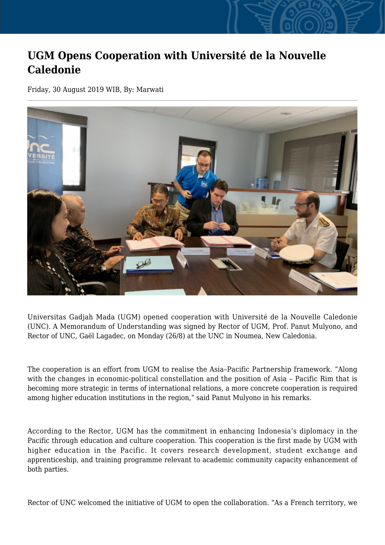## **UGM Opens Cooperation with Université de la Nouvelle Caledonie**

Friday, 30 August 2019 WIB, By: Marwati



Universitas Gadjah Mada (UGM) opened cooperation with Université de la Nouvelle Caledonie (UNC). A Memorandum of Understanding was signed by Rector of UGM, Prof. Panut Mulyono, and Rector of UNC, Gaël Lagadec, on Monday (26/8) at the UNC in Noumea, New Caledonia.

The cooperation is an effort from UGM to realise the Asia–Pacific Partnership framework. "Along with the changes in economic-political constellation and the position of Asia – Pacific Rim that is becoming more strategic in terms of international relations, a more concrete cooperation is required among higher education institutions in the region," said Panut Mulyono in his remarks.

According to the Rector, UGM has the commitment in enhancing Indonesia's diplomacy in the Pacific through education and culture cooperation. This cooperation is the first made by UGM with higher education in the Pacific. It covers research development, student exchange and apprenticeship, and training programme relevant to academic community capacity enhancement of both parties.

Rector of UNC welcomed the initiative of UGM to open the collaboration. "As a French territory, we